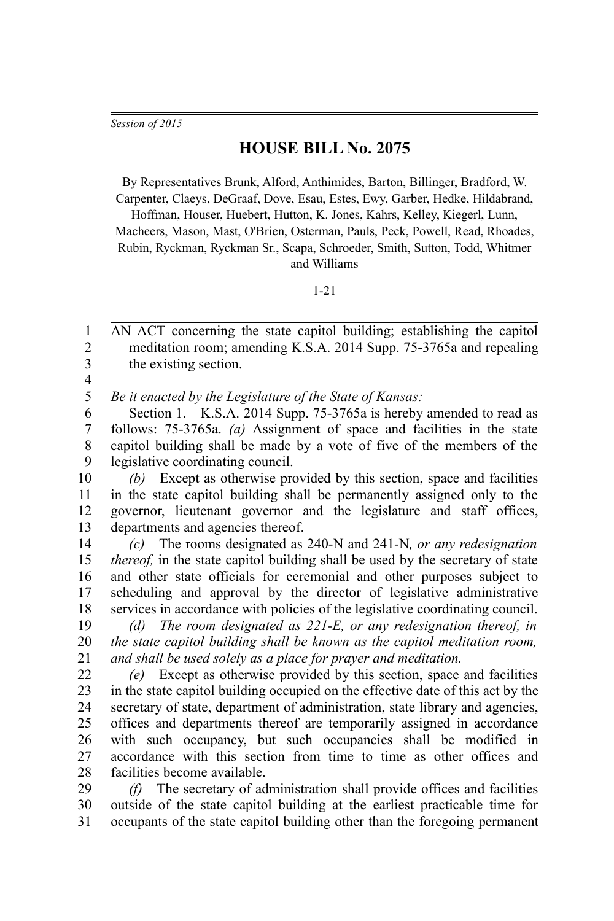*Session of 2015*

## **HOUSE BILL No. 2075**

By Representatives Brunk, Alford, Anthimides, Barton, Billinger, Bradford, W. Carpenter, Claeys, DeGraaf, Dove, Esau, Estes, Ewy, Garber, Hedke, Hildabrand,

Hoffman, Houser, Huebert, Hutton, K. Jones, Kahrs, Kelley, Kiegerl, Lunn, Macheers, Mason, Mast, O'Brien, Osterman, Pauls, Peck, Powell, Read, Rhoades, Rubin, Ryckman, Ryckman Sr., Scapa, Schroeder, Smith, Sutton, Todd, Whitmer and Williams

## 1-21

AN ACT concerning the state capitol building; establishing the capitol meditation room; amending K.S.A. 2014 Supp. 75-3765a and repealing the existing section. 1  $\mathfrak{D}$ 3

4

*Be it enacted by the Legislature of the State of Kansas:* 5

Section 1. K.S.A. 2014 Supp. 75-3765a is hereby amended to read as follows: 75-3765a. *(a)* Assignment of space and facilities in the state capitol building shall be made by a vote of five of the members of the legislative coordinating council. 6 7 8 9

*(b)* Except as otherwise provided by this section, space and facilities in the state capitol building shall be permanently assigned only to the governor, lieutenant governor and the legislature and staff offices, departments and agencies thereof. 10 11 12 13

*(c)* The rooms designated as 240-N and 241-N*, or any redesignation thereof,* in the state capitol building shall be used by the secretary of state and other state officials for ceremonial and other purposes subject to scheduling and approval by the director of legislative administrative services in accordance with policies of the legislative coordinating council. 14 15 16 17 18

*(d) The room designated as 221-E, or any redesignation thereof, in the state capitol building shall be known as the capitol meditation room, and shall be used solely as a place for prayer and meditation.* 19 20 21

*(e)* Except as otherwise provided by this section, space and facilities in the state capitol building occupied on the effective date of this act by the secretary of state, department of administration, state library and agencies, offices and departments thereof are temporarily assigned in accordance with such occupancy, but such occupancies shall be modified in accordance with this section from time to time as other offices and facilities become available. 22 23 24 25 26 27 28

*(f)* The secretary of administration shall provide offices and facilities outside of the state capitol building at the earliest practicable time for occupants of the state capitol building other than the foregoing permanent 29 30 31